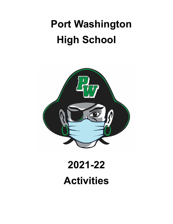# **Port Washington High School**



# **2021-22 Activities**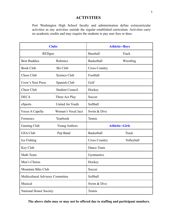## **ACTIVITIES**

Port Washington High School faculty and administration define extracurricular activities as any activities outside the regular established curriculum. Activities carry no academic credits and may require the students to pay user fees or dues.

| <b>Clubs</b>                     |                        | <b>Athletic--Boys</b>  |            |
|----------------------------------|------------------------|------------------------|------------|
| REDgen                           |                        | Baseball               | Track      |
| <b>Best Buddies</b>              | Robotics               | <b>Basketball</b>      | Wrestling  |
| <b>Book Club</b>                 | Ski Club               | <b>Cross Country</b>   |            |
| Chess Club                       | Science Club           | Football               |            |
| Crow's Nest Press                | Spanish Club           | Golf                   |            |
| Cheer Club                       | <b>Student Council</b> | Hockey                 |            |
| <b>DECA</b>                      | Three Act Play         | Soccer                 |            |
| eSports                          | United for Youth       | Softball               |            |
| Focus A Capella                  | Woman's Vocal Jazz     | Swim & Dive            |            |
| Forensics                        | Yearbook               | Tennis                 |            |
| Gaming Club                      | <b>Young Authors</b>   | <b>Athletic--Girls</b> |            |
| <b>GSA Club</b>                  | Pep Band               | <b>Basketball</b>      | Track      |
| Ice Fishing                      |                        | <b>Cross Country</b>   | Volleyball |
| Key Club                         |                        | Dance Team             |            |
| Math Team                        |                        | Gymnastics             |            |
| Men's Chorus                     |                        | Hockey                 |            |
| Mountain Bike Club               |                        | Soccer                 |            |
| Multicultural Advisory Committee |                        | Softball               |            |
| Musical                          |                        | Swim & Dive            |            |
| National Honor Society           |                        | Tennis                 |            |

**The above clubs may or may not be offered due to staffing and participant numbers.**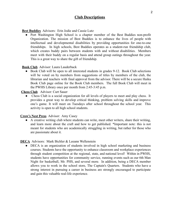## **Club Descriptions**

#### **Best Buddies** Advisors: Erin Jodie and Cassie Lutz

● Port Washington High School is a chapter member of the Best Buddies non-profit Organization. The mission of Best Buddies is to enhance the lives of people with intellectual and developmental disabilities by providing opportunities for one-to-one friendships. In high schools, Best Buddies operates as a student-run friendship club, which creates buddy pairs between students with and without disabilities. Members meet with their buddy on a regular basis and attend group outings throughout the year. This is a great way to share the gift of friendship.

#### **Book Club** Advisor: Laura Lauderback

• Book Club will be open to all interested students in grades 9-12. Book Club selections will be voted on by members from suggestions of titles by members of the club, the librarian and teachers with final approval from the advisor. There will be a secure Haiku Book Club page online for the Book Club members. The full Book Club will meet in the PWHS Library once per month from 2:45-3:45 p.m.

#### **Chess Club** Advisor: Curt Sauer

• Chess Club is a social organization for all levels of players to meet and play chess. It provides a great way to develop critical thinking, problem solving skills and improve one's game. It will meet on Tuesdays after school throughout the school year. This activity is open to all high school students.

#### **Crow's Nest Press** Advisor: Amy Casey

● A creative writing club where students can write, meet other writers, share their writing, and learn more about the craft and how to get published. \*Important note: this is not meant for students who are academically struggling in writing, but rather for those who are passionate about it.

#### **DECA** Advisors: Mark Bichler & Leeann Wellenstein

• DECA is an organization of students involved in high school marketing and business courses. Students have the opportunity to enhance classroom and workplace experiences through student competition at the regional, state, and national level! Within in PWHS, students have opportunities for community service, running events such as our 6th Man Night for basketball, Mr. PHS, and several more. In addition, being a DECA member allows you to work in the school store, The Captain's Quarters. Students who have a strong interest in pursuing a career in business are strongly encouraged to participate and gain this valuable real-life experience.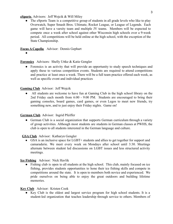**eSports** Advisors: Jeff Wojcik & Will Miley

• The eSports Team is a competitive group of students in all grade levels who like to play Overwatch, Super Smash Bros. Ultimate, Rocket League, or League of Legends. Each game will have a varsity team and multiple JV teams. Members will be expected to compete once a week after school against other Wisconsin high schools over a 9-week period. All competitions will be held online at the high school, with the exception of the State Championship.

#### **Focus A Capella** Advisor: Dennis Gephart

●

## **Forensics** Advisors: Shelly Uttke & Katie Gengler

• Forensics is an activity that will provide an opportunity to study speech techniques and apply these to various competition events. Students are required to attend competitions and practice at least once a week. There will be a full team practice offered each week, as well as specific event and individual practices

#### **Gaming Club** Advisor: Jeff Wojcik

All students are welcome to have fun at Gaming Club in the high school library on the 2nd Friday each month from 6:00 - 9:00 PM. Students are encouraged to bring their gaming consoles, board games, card games, or even Legos to meet new friends, try something new, and to just enjoy their Friday nights. Game on!

#### **German Club** Advisor: Ingrid Pfeiffer

• German Club is a social organization that supports German curriculum through a variety of group activities. Although most students are students in German classes at PWHS, the club is open to all students interested in the German language and culture.

## **GSA Club** Advisor: Katharyn Gengler

● GSA is an inclusive space for LGBT+ students and allies to get together for support and camaraderie. We meet every week on Mondays after school until 3:30. Meetings alternate between student led discussions on LGBT issues and less structured activity meetings.

## **Ice Fishing** Advisor: Nick Havlik

• Fishing club is open to all students at the high school. This club, mainly focused on ice fishing, provides students opportunities to hone their ice fishing skills and compete in competitions around the state. It is open to members both novice and experienced. We pride ourselves on being able to enjoy the great outdoors and building lifetime memories.

#### **Key Club** Advisor: Kristen Cook

• Key Club is the oldest and largest service program for high school students. It is a student-led organization that teaches leadership through service to others. Members of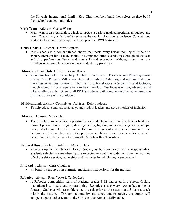the Kiwanis International family, Key Club members build themselves as they build their schools and communities.

## **Math Team** Advisor: Geena Worm

● Math team is an organization, which competes at various math competitions throughout the year. This activity is designed to enhance the regular classroom experience**.** Competitions start in October and end in April and are open to all PWHS students.

## **Men's Chorus** Advisor: Dennis Gephart

• Men's chorus is a non-auditioned chorus that meets every Friday morning at 6:45am to explore literature for all male choirs. The group performs several times throughout the year and also performs at district and state solo and ensemble. Although many men are members of a curricular choir any male student may participate.

## **Mountain Bike Club** Advisor: Jeanne Kasza

● Mountain bike club meets July-October. Practices are Tuesdays and Thursdays from 5:30-7:15 at Pleasant Valley mountain bike trails in Cedarburg and optional Saturday mornings at various locations. There are 5 optional races in September and October, though racing is not a requirement to be in the club. Our focus is on fun, adventure and bike handling skills. Open to all PWHS students with a mountain bike, adventuresome spirit and a love of the outdoors!

## **Multicultural Advisory Committee** Advisor: Kelly Hadacek

● To help educate and advocate as young student leaders and act as models of inclusion.

**Musical** Advisor: Nancy Hart

• The all school musical is an opportunity for students in grades 9-12 to be involved in a musical production by singing, dancing, acting, lighting and sound, stage crew, and pit band. Auditions take place on the first week of school and practices run until the beginning of November when the performance takes place. Practices for musicals depend on the role given but are usually Mondays thru Thursdays.

## **National Honor Society** Advisor: Mark Bichler

● Membership in the National Honor Society is both an honor and a responsibility. Students selected for membership are expected to continue to demonstrate the qualities of scholarship, service, leadership, and character by which they were selected.

## **Pit Band** Advisor: Chris Clouthier

● Pit band is a group of instrumental musicians that perform for the musical.

## **Robotics** Advisor: Ryna Volke & Taylor Last

A Robotics competition team of students grades 9-12 interested in business, design, manufacturing, media and programming. Robotics is a 6 week season beginning in January. Students will assemble once a week prior to the season and 5 days a week within the season. Through community assistance and resources, this group will compete against other teams at the U.S. Cellular Arena in Milwaukee.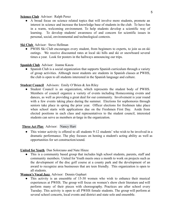#### **Science Club** Advisor: Ralph Perez

● A broad focus on science related topics that will involve more students, promote an interest in science and increase the knowledge base of students in the club. To have fun in a warm, welcoming environment. To help students develop a scientific way of learning. To develop students' awareness of and concern for scientific issues in personal, social, environmental and technological contexts.

#### **Ski Club** Advisor: Steve Hellman

• PWHS Ski Club encourages every student, from beginners to experts, to join us on ski outings. We receive discounted rates at local ski hills and ski or snowboard several times a year. Look for posters in the hallways announcing our trips.

#### **Spanish Club** Advisor: Jeanne Kasza

• Spanish Club is a social organization that supports Spanish curriculum through a variety of group activities. Although most students are students in Spanish classes at PWHS, the club is open to all students interested in the Spanish language and culture.

#### **Student Council** Advisors: Emily O'Brien & Jen Riley

Student Council is an organization, which represents the student body of PWHS. Members of council organize a variety of events including Homecoming events and dances, as well as providing a great deal for our community. Involvement is year round with a few events taking place during the summer. Elections for sophomores through seniors take place in spring the prior year. Officer elections for freshmen take place when school starts with applications due on the Freshmen First Day. Aside from elected positions in each class and representatives to the student council, interested students can serve as members at-large in the organization.

#### **Three Act Play** Advisor: [Nancy Hart](mailto:nancy.hart@pwssd.k12.wi.us)

• This winter activity is offered to all students 9-12 students' who wish to be involved in a dramatic performance. The play focuses on honing a student's acting ability as well as opportunities for set construction/sound.

#### **United for Youth** Dan Solorzano and Nate Hinze

• This is a community based group that includes high school students, parents, staff and community members. United for Youth meets once a month to work on projects such as the development of the disc golf course at a county park and the development of an award to recognize area businesses that are teen friendly. This organization is open to all students.

#### **Women's Vocal Jazz** Advisor: Dennis Gephart

• This activity is an ensemble of 15-30 women who wish to enhance their musical experiences at PWHS. The group will focus on women's show choir literature and will perform many of their pieces with choreography. Practices are after school every Tuesday. This activity is open to all PWHS female students. The group will perform at several school concerts, local events and district and state solo and ensemble.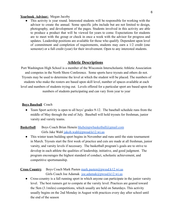#### **Yearbook Advisor:** Megan Jacoby

● This activity is year round. Interested students will be responsible for working with the advisor to create the annual. Some specific jobs include but are not limited to design, photography, and development of the pages. Students involved in this activity are able to produce a product that will be viewed for years to come. Expectations for students are to meet with the group or check in once a week with the advisor for progress and updates. Leadership positions are available for those who qualify. Dependent upon level of commitment and completion of requirements, students may earn a 1/2 credit (one semester) or a full credit (year) for their involvement. Open to any interested students.

## **Athletic Descriptions**

Port Washington High School is a member of the Wisconsin Interscholastic Athletic Association and competes in the North Shore Conference. Some sports have tryouts and others do not. Tryouts may be used to determine the level at which the student will be placed. The numbers of students who make the rosters are based upon skill level, number of spaces available at each level and numbers of students trying out. Levels offered for a particular sport are based upon the numbers of students participating and can vary from year to year

#### **Boys Baseball** Coach

• Team Sport activity is open to all boys' grades 9-12. The baseball schedule runs from the middle of May through the end of July. Baseball will hold tryouts for freshman, junior varsity and varsity teams.

## **Basketball** Boys Coach Brian Henein [bhebeinpwbasketball@gmail.com](mailto:bhebeinpwbasketball@gmail.com) Girls Jake Wahl [jakob.wahl@pwssd.k12.wi.us](mailto:jakob.wahl@pwssd.k12.wi.us)

• This winter team building sport begins in November and runs until the state tournament in March. Tryouts start the first week of practice and cuts are made at all freshman, junior varsity, and varsity levels if necessary. The basketball program's goals are to strive to develop in each athlete the qualities of leadership, initiative, and good judgment. The program encourages the highest standard of conduct, scholastic achievement, and competitive sportsmanship.

#### **Cross Country** Boys Coach Mark Pasten [mark.pasten@pwssd.k12.wi.us](mailto:mark.pasten@pwssd.k12.wi.us) Girls Coach Joe Adamak [joe.adamak@pwssd.k12.wi.us](mailto:joe.adamak@pwssd.k12.wi.us)

• Cross-country is a fall running sport in which anyone can participate in the junior varsity level. The best runners get to compete at the varsity level. Practices are geared toward the 5km (3.1miles) competitions, which usually are held on Saturdays. This activity usually begins on the 2nd Monday in August with practices every day after school until the end of the season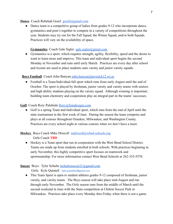#### **Dance** Coach Rebekah Goerl [goerlr@gmail.com](mailto:goerlr@gmail.com)

• Dance team is a competitive group of ladies from grades 9-12 who incorporate dance, gymnastics and pom's together to compete in a variety of competitions throughout the year. Students may try out for the Fall Squad, the Winter Squad, and/or both Squads. Practices will vary on the availability of space.

### **Gymnastics** Coach Gale Sigler [gale.sigler@gmail.com](mailto:gale.sigler@gmail.com)

● Gymnastics is a sport, which requires strength, agility, flexibility, speed and the desire to want to learn more and improve. This team and individual sport begins the second Monday in November and runs until early March. Practices are every day after school and tryouts are used to place students onto varsity and junior varsity squads.

#### **Boys Football** Coach John Bunyan [john.bunyan@pwssd.k12.wi.us](mailto:john.bunyan@pwssd.k12.wi.us)

• Football is a Team/Individual fall sport which runs from early August until the end of October. The sport is played by freshman, junior varsity and varsity teams with seniors and high ability students playing on the varsity squad. Although winning is important, building team chemistry and cooperation play an integral part in the teams' successes.

#### **Golf** Coach Rory Palubiski [Rory@feindesigns.com](mailto:Rory@feindesigns.com)

● Golf is a spring Team and Individual sport, which runs from the end of April until the state tournament in the first week of June. During the season the team competes and plays at all courses throughout Ozaukee, Milwaukee, and Washington County. Practices are every school night at various courses when we don't have a meet.

## **Hockey** Boys Coach Mike Driscoll [mdriscoll@wbsd-schools.org](mailto:mdriscoll@wbsd-schools.org) Girls Coach **TBD**

● Hockey is a Team sport that run in cooperation with the West Bend School District. Teams are made up from students enrolled in both schools. With practices beginning in early November, this highly competitive sport focuses on teamwork and sportsmanship. For more information contact West Bend Schools at 262-335-5570.

## Soccer Boys: Tyler Schultz [tschultzsoccer21@gmail.com](mailto:tschultzsoccer21@gmail.com)

Girls: Kyle Quintell kyle.quintell23@gmail.com

• This Team Sport is open to student athletes grades 9-12 composed of freshman, junior varsity, and varsity teams. The Boys season will take place mid-August and run through early November. The Girls season runs from the middle of March until the second weekend in June with the State competition at Uhilein Soccer Park in Milwaukee. Practices take place every Monday thru Friday when there is not a game.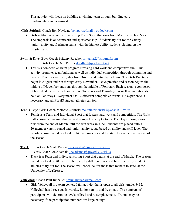This activity will focus on building a winning team through building core fundamentals and teamwork.

## .Girls Softball Coach Ben Navigato [ben.portsoftball@outlook.com](mailto:ben.portsoftball@outlook.com)

• Girls softball is a competitive spring Team Sport that runs from March until late May. The emphasis is on teamwork and sportsmanship. Students try out for the varsity, junior varsity and freshman teams with the highest ability students playing on the varsity team.

## **Swim & Dive** Boys Coach Brittany Roecker [brittanyr25@hotmail.com](mailto:brittanyr25@hotmail.com) Girls Coach Dani Peiffer [dpeiffer@spectrumit.net](mailto:dpeiffer@spectrumit.net)

● This is a competitive swim program stressing hard work and competitive fun. This activity promotes team building as well as individual competition through swimming and diving. Practices are every day from 3-6pm and Saturday 8-11am. The Girls Practices begin in August and run through early November. Boys practice and season begins the middle of November and runs through the middle of February. Each season is composed of both dual meets, which are held on Tuesdays and Thursdays, as well as invitationals held on Saturdays. Every meet has 12 different competitive events. No experience is necessary and all PWHS student athletes can join.

## **Tennis** Boys/Girls Coach Melonie Zielinski [melonie.zielinski@pwssd.k12.wi.us](mailto:melonie.zielinski@pwssd.k12.wi.us)

• Tennis is a Team and Individual Sport that fosters hard work and competition. The Girls Fall season begins mid-August and completes early October. The Boys Spring season runs from the end of March until the first week in June. Students are placed onto a 20-member varsity squad and junior varsity squad based on ability and skill level. The varsity season includes a total of 14 team matches and the state tournament at the end of the season.

## **Track** Boys Coach Mark Pasten [mark.pasten@pwssd.k12.wi.us](mailto:mark.pasten@pwssd.k12.wi.us) Girls Coach Joe Adamak [joe.adamak@pwssd.k12.wi.us](mailto:joe.adamak@pwssd.k12.wi.us)

• Track is a Team and Individual spring Sport that begins at the end of March. The season includes a total of 20 meets. There are 18 different track and field events for student athletes to try out for. The season will conclude, for those that make it to state, at the University of LaCrosse.

## **Volleyball** Coach Paul Junbauer [pmjungbauer@gmail.com](mailto:pmjungbauer@gmail.com)

● Girls Volleyball is a team centered fall activity that is open to all girls' grades 9-12. Volleyball has three squads; varsity, junior varsity and freshman. The numbers of participants will determine levels offered and roster placement. Tryouts may be necessary if the participation numbers are large enough.